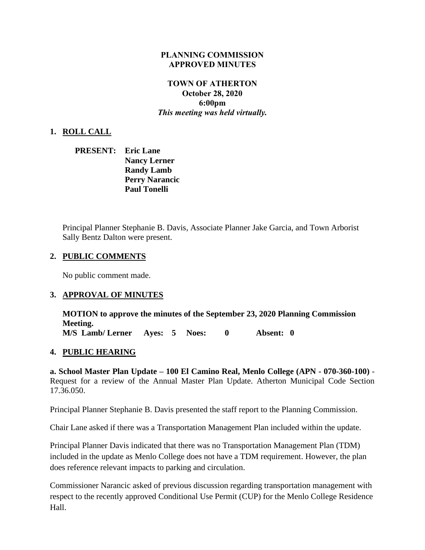#### **PLANNING COMMISSION APPROVED MINUTES**

### **TOWN OF ATHERTON October 28, 2020 6:00pm** *This meeting was held virtually.*

#### **1. ROLL CALL**

| <b>PRESENT:</b> | <b>Eric Lane</b>      |
|-----------------|-----------------------|
|                 | <b>Nancy Lerner</b>   |
|                 | <b>Randy Lamb</b>     |
|                 | <b>Perry Narancic</b> |
|                 | <b>Paul Tonelli</b>   |

Principal Planner Stephanie B. Davis, Associate Planner Jake Garcia, and Town Arborist Sally Bentz Dalton were present.

#### **2. PUBLIC COMMENTS**

No public comment made.

#### **3. APPROVAL OF MINUTES**

**MOTION to approve the minutes of the September 23, 2020 Planning Commission Meeting. M/S Lamb/ Lerner Ayes: 5 Noes: 0 Absent: 0** 

#### **4. PUBLIC HEARING**

**a. School Master Plan Update – 100 El Camino Real, Menlo College (APN - 070-360-100)** - Request for a review of the Annual Master Plan Update. Atherton Municipal Code Section 17.36.050.

Principal Planner Stephanie B. Davis presented the staff report to the Planning Commission.

Chair Lane asked if there was a Transportation Management Plan included within the update.

Principal Planner Davis indicated that there was no Transportation Management Plan (TDM) included in the update as Menlo College does not have a TDM requirement. However, the plan does reference relevant impacts to parking and circulation.

Commissioner Narancic asked of previous discussion regarding transportation management with respect to the recently approved Conditional Use Permit (CUP) for the Menlo College Residence Hall.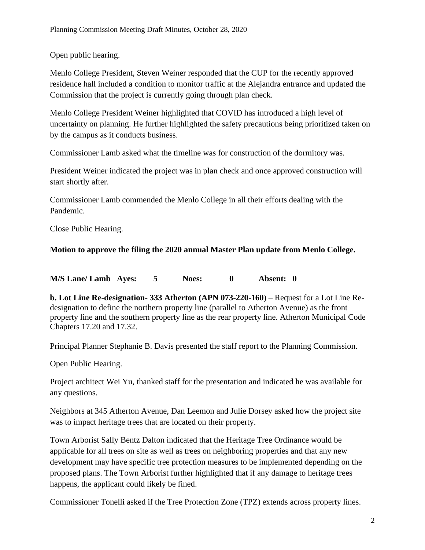Open public hearing.

Menlo College President, Steven Weiner responded that the CUP for the recently approved residence hall included a condition to monitor traffic at the Alejandra entrance and updated the Commission that the project is currently going through plan check.

Menlo College President Weiner highlighted that COVID has introduced a high level of uncertainty on planning. He further highlighted the safety precautions being prioritized taken on by the campus as it conducts business.

Commissioner Lamb asked what the timeline was for construction of the dormitory was.

President Weiner indicated the project was in plan check and once approved construction will start shortly after.

Commissioner Lamb commended the Menlo College in all their efforts dealing with the Pandemic.

Close Public Hearing.

### **Motion to approve the filing the 2020 annual Master Plan update from Menlo College.**

**M/S Lane/ Lamb Ayes: 5 Noes: 0 Absent: 0**

**b. Lot Line Re-designation- 333 Atherton (APN 073-220-160**) – Request for a Lot Line Redesignation to define the northern property line (parallel to Atherton Avenue) as the front property line and the southern property line as the rear property line. Atherton Municipal Code Chapters 17.20 and 17.32.

Principal Planner Stephanie B. Davis presented the staff report to the Planning Commission.

Open Public Hearing.

Project architect Wei Yu, thanked staff for the presentation and indicated he was available for any questions.

Neighbors at 345 Atherton Avenue, Dan Leemon and Julie Dorsey asked how the project site was to impact heritage trees that are located on their property.

Town Arborist Sally Bentz Dalton indicated that the Heritage Tree Ordinance would be applicable for all trees on site as well as trees on neighboring properties and that any new development may have specific tree protection measures to be implemented depending on the proposed plans. The Town Arborist further highlighted that if any damage to heritage trees happens, the applicant could likely be fined.

Commissioner Tonelli asked if the Tree Protection Zone (TPZ) extends across property lines.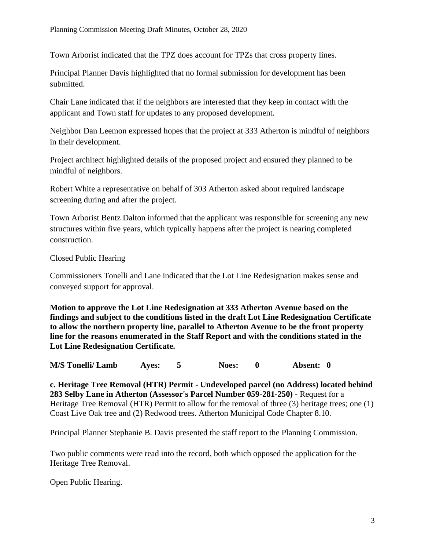Town Arborist indicated that the TPZ does account for TPZs that cross property lines.

Principal Planner Davis highlighted that no formal submission for development has been submitted.

Chair Lane indicated that if the neighbors are interested that they keep in contact with the applicant and Town staff for updates to any proposed development.

Neighbor Dan Leemon expressed hopes that the project at 333 Atherton is mindful of neighbors in their development.

Project architect highlighted details of the proposed project and ensured they planned to be mindful of neighbors.

Robert White a representative on behalf of 303 Atherton asked about required landscape screening during and after the project.

Town Arborist Bentz Dalton informed that the applicant was responsible for screening any new structures within five years, which typically happens after the project is nearing completed construction.

Closed Public Hearing

Commissioners Tonelli and Lane indicated that the Lot Line Redesignation makes sense and conveyed support for approval.

**Motion to approve the Lot Line Redesignation at 333 Atherton Avenue based on the findings and subject to the conditions listed in the draft Lot Line Redesignation Certificate to allow the northern property line, parallel to Atherton Avenue to be the front property line for the reasons enumerated in the Staff Report and with the conditions stated in the Lot Line Redesignation Certificate.** 

**M/S Tonelli/ Lamb Ayes: 5 Noes: 0 Absent: 0**

**c. Heritage Tree Removal (HTR) Permit - Undeveloped parcel (no Address) located behind 283 Selby Lane in Atherton (Assessor's Parcel Number 059-281-250) -** Request for a Heritage Tree Removal (HTR) Permit to allow for the removal of three (3) heritage trees; one (1) Coast Live Oak tree and (2) Redwood trees. Atherton Municipal Code Chapter 8.10.

Principal Planner Stephanie B. Davis presented the staff report to the Planning Commission.

Two public comments were read into the record, both which opposed the application for the Heritage Tree Removal.

Open Public Hearing.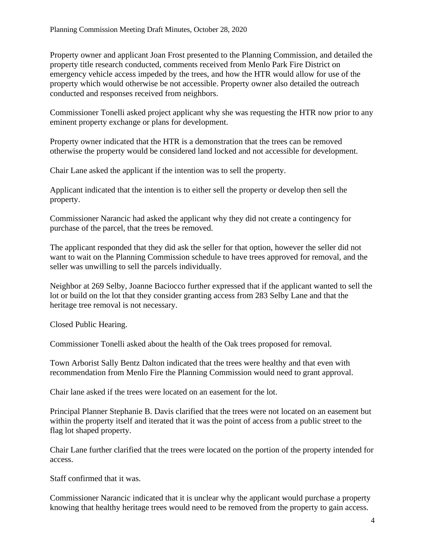Property owner and applicant Joan Frost presented to the Planning Commission, and detailed the property title research conducted, comments received from Menlo Park Fire District on emergency vehicle access impeded by the trees, and how the HTR would allow for use of the property which would otherwise be not accessible. Property owner also detailed the outreach conducted and responses received from neighbors.

Commissioner Tonelli asked project applicant why she was requesting the HTR now prior to any eminent property exchange or plans for development.

Property owner indicated that the HTR is a demonstration that the trees can be removed otherwise the property would be considered land locked and not accessible for development.

Chair Lane asked the applicant if the intention was to sell the property.

Applicant indicated that the intention is to either sell the property or develop then sell the property.

Commissioner Narancic had asked the applicant why they did not create a contingency for purchase of the parcel, that the trees be removed.

The applicant responded that they did ask the seller for that option, however the seller did not want to wait on the Planning Commission schedule to have trees approved for removal, and the seller was unwilling to sell the parcels individually.

Neighbor at 269 Selby, Joanne Baciocco further expressed that if the applicant wanted to sell the lot or build on the lot that they consider granting access from 283 Selby Lane and that the heritage tree removal is not necessary.

Closed Public Hearing.

Commissioner Tonelli asked about the health of the Oak trees proposed for removal.

Town Arborist Sally Bentz Dalton indicated that the trees were healthy and that even with recommendation from Menlo Fire the Planning Commission would need to grant approval.

Chair lane asked if the trees were located on an easement for the lot.

Principal Planner Stephanie B. Davis clarified that the trees were not located on an easement but within the property itself and iterated that it was the point of access from a public street to the flag lot shaped property.

Chair Lane further clarified that the trees were located on the portion of the property intended for access.

Staff confirmed that it was.

Commissioner Narancic indicated that it is unclear why the applicant would purchase a property knowing that healthy heritage trees would need to be removed from the property to gain access.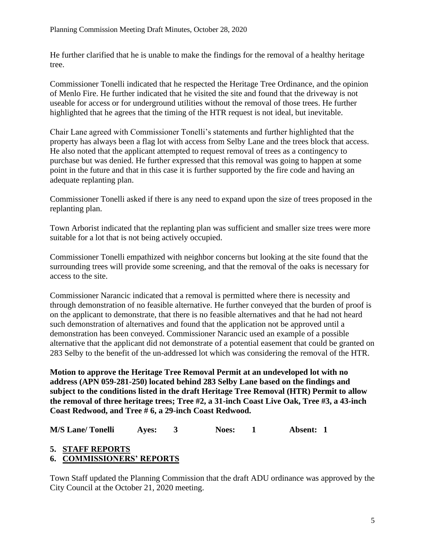He further clarified that he is unable to make the findings for the removal of a healthy heritage tree.

Commissioner Tonelli indicated that he respected the Heritage Tree Ordinance, and the opinion of Menlo Fire. He further indicated that he visited the site and found that the driveway is not useable for access or for underground utilities without the removal of those trees. He further highlighted that he agrees that the timing of the HTR request is not ideal, but inevitable.

Chair Lane agreed with Commissioner Tonelli's statements and further highlighted that the property has always been a flag lot with access from Selby Lane and the trees block that access. He also noted that the applicant attempted to request removal of trees as a contingency to purchase but was denied. He further expressed that this removal was going to happen at some point in the future and that in this case it is further supported by the fire code and having an adequate replanting plan.

Commissioner Tonelli asked if there is any need to expand upon the size of trees proposed in the replanting plan.

Town Arborist indicated that the replanting plan was sufficient and smaller size trees were more suitable for a lot that is not being actively occupied.

Commissioner Tonelli empathized with neighbor concerns but looking at the site found that the surrounding trees will provide some screening, and that the removal of the oaks is necessary for access to the site.

Commissioner Narancic indicated that a removal is permitted where there is necessity and through demonstration of no feasible alternative. He further conveyed that the burden of proof is on the applicant to demonstrate, that there is no feasible alternatives and that he had not heard such demonstration of alternatives and found that the application not be approved until a demonstration has been conveyed. Commissioner Narancic used an example of a possible alternative that the applicant did not demonstrate of a potential easement that could be granted on 283 Selby to the benefit of the un-addressed lot which was considering the removal of the HTR.

**Motion to approve the Heritage Tree Removal Permit at an undeveloped lot with no address (APN 059-281-250) located behind 283 Selby Lane based on the findings and subject to the conditions listed in the draft Heritage Tree Removal (HTR) Permit to allow the removal of three heritage trees; Tree #2, a 31-inch Coast Live Oak, Tree #3, a 43-inch Coast Redwood, and Tree # 6, a 29-inch Coast Redwood.**

**M/S Lane/ Tonelli Ayes: 3 Noes: 1 Absent: 1**

# **5. STAFF REPORTS**

## **6. COMMISSIONERS' REPORTS**

Town Staff updated the Planning Commission that the draft ADU ordinance was approved by the City Council at the October 21, 2020 meeting.